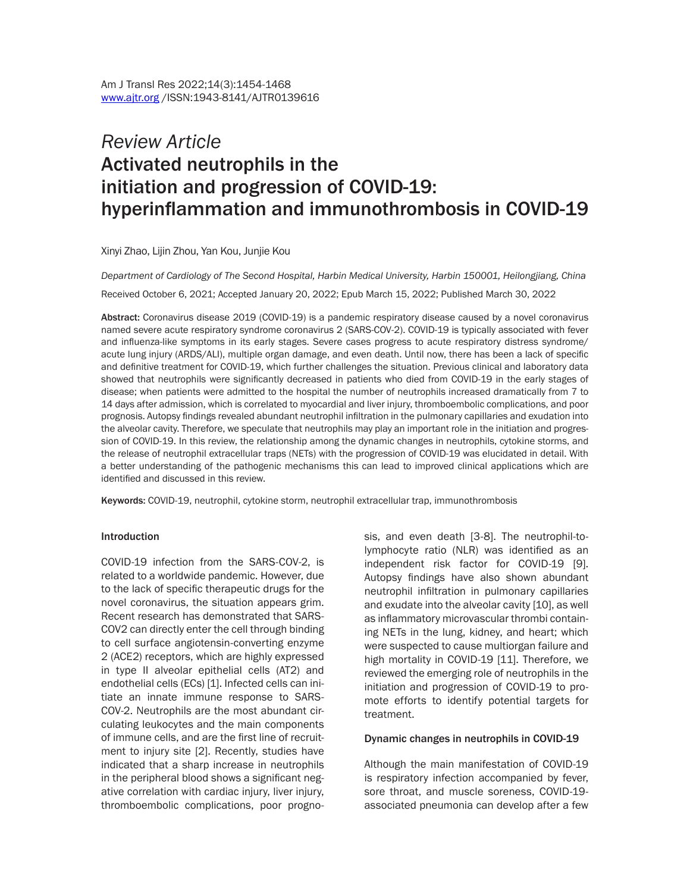# *Review Article*  Activated neutrophils in the initiation and progression of COVID-19: hyperinflammation and immunothrombosis in COVID-19

Xinyi Zhao, Lijin Zhou, Yan Kou, Junjie Kou

*Department of Cardiology of The Second Hospital, Harbin Medical University, Harbin 150001, Heilongjiang, China*

Received October 6, 2021; Accepted January 20, 2022; Epub March 15, 2022; Published March 30, 2022

Abstract: Coronavirus disease 2019 (COVID-19) is a pandemic respiratory disease caused by a novel coronavirus named severe acute respiratory syndrome coronavirus 2 (SARS-COV-2). COVID-19 is typically associated with fever and influenza-like symptoms in its early stages. Severe cases progress to acute respiratory distress syndrome/ acute lung injury (ARDS/ALI), multiple organ damage, and even death. Until now, there has been a lack of specific and definitive treatment for COVID-19, which further challenges the situation. Previous clinical and laboratory data showed that neutrophils were significantly decreased in patients who died from COVID-19 in the early stages of disease; when patients were admitted to the hospital the number of neutrophils increased dramatically from 7 to 14 days after admission, which is correlated to myocardial and liver injury, thromboembolic complications, and poor prognosis. Autopsy findings revealed abundant neutrophil infiltration in the pulmonary capillaries and exudation into the alveolar cavity. Therefore, we speculate that neutrophils may play an important role in the initiation and progression of COVID-19. In this review, the relationship among the dynamic changes in neutrophils, cytokine storms, and the release of neutrophil extracellular traps (NETs) with the progression of COVID-19 was elucidated in detail. With a better understanding of the pathogenic mechanisms this can lead to improved clinical applications which are identified and discussed in this review.

Keywords: COVID-19, neutrophil, cytokine storm, neutrophil extracellular trap, immunothrombosis

#### **Introduction**

COVID-19 infection from the SARS-COV-2, is related to a worldwide pandemic. However, due to the lack of specific therapeutic drugs for the novel coronavirus, the situation appears grim. Recent research has demonstrated that SARS-COV2 can directly enter the cell through binding to cell surface angiotensin-converting enzyme 2 (ACE2) receptors, which are highly expressed in type II alveolar epithelial cells (AT2) and endothelial cells (ECs) [1]. Infected cells can initiate an innate immune response to SARS-COV-2. Neutrophils are the most abundant circulating leukocytes and the main components of immune cells, and are the first line of recruitment to injury site [2]. Recently, studies have indicated that a sharp increase in neutrophils in the peripheral blood shows a significant negative correlation with cardiac injury, liver injury, thromboembolic complications, poor prognosis, and even death [3-8]. The neutrophil-tolymphocyte ratio (NLR) was identified as an independent risk factor for COVID-19 [9]. Autopsy findings have also shown abundant neutrophil infiltration in pulmonary capillaries and exudate into the alveolar cavity [10], as well as inflammatory microvascular thrombi containing NETs in the lung, kidney, and heart; which were suspected to cause multiorgan failure and high mortality in COVID-19 [11]. Therefore, we reviewed the emerging role of neutrophils in the initiation and progression of COVID-19 to promote efforts to identify potential targets for treatment.

#### Dynamic changes in neutrophils in COVID-19

Although the main manifestation of COVID-19 is respiratory infection accompanied by fever, sore throat, and muscle soreness, COVID-19 associated pneumonia can develop after a few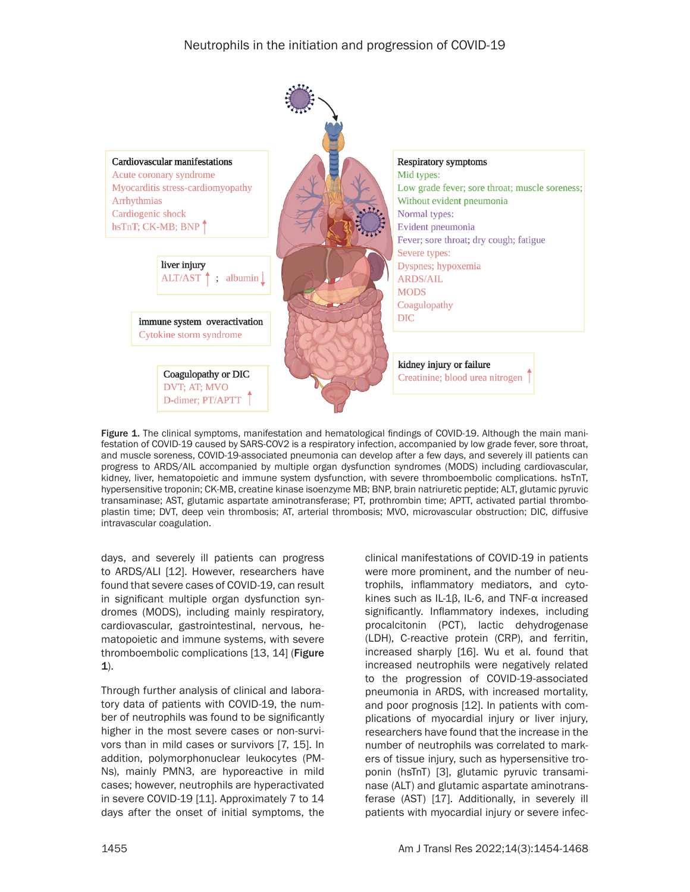

Figure 1. The clinical symptoms, manifestation and hematological findings of COVID-19. Although the main manifestation of COVID-19 caused by SARS-COV2 is a respiratory infection, accompanied by low grade fever, sore throat, and muscle soreness, COVID-19-associated pneumonia can develop after a few days, and severely ill patients can progress to ARDS/AIL accompanied by multiple organ dysfunction syndromes (MODS) including cardiovascular, kidney, liver, hematopoietic and immune system dysfunction, with severe thromboembolic complications. hsTnT, hypersensitive troponin; CK-MB, creatine kinase isoenzyme MB; BNP, brain natriuretic peptide; ALT, glutamic pyruvic transaminase; AST, glutamic aspartate aminotransferase; PT, prothrombin time; APTT, activated partial thromboplastin time; DVT, deep vein thrombosis; AT, arterial thrombosis; MVO, microvascular obstruction; DIC, diffusive intravascular coagulation.

days, and severely ill patients can progress to ARDS/ALI [12]. However, researchers have found that severe cases of COVID-19, can result in significant multiple organ dysfunction syndromes (MODS), including mainly respiratory, cardiovascular, gastrointestinal, nervous, hematopoietic and immune systems, with severe thromboembolic complications [13, 14] (Figure 1).

Through further analysis of clinical and laboratory data of patients with COVID-19, the number of neutrophils was found to be significantly higher in the most severe cases or non-survivors than in mild cases or survivors [7, 15]. In addition, polymorphonuclear leukocytes (PM-Ns), mainly PMN3, are hyporeactive in mild cases; however, neutrophils are hyperactivated in severe COVID-19 [11]. Approximately 7 to 14 days after the onset of initial symptoms, the clinical manifestations of COVID-19 in patients were more prominent, and the number of neutrophils, inflammatory mediators, and cytokines such as IL-1β, IL-6, and TNF-α increased significantly. Inflammatory indexes, including procalcitonin (PCT), lactic dehydrogenase (LDH), C-reactive protein (CRP), and ferritin, increased sharply [16]. Wu et al. found that increased neutrophils were negatively related to the progression of COVID-19-associated pneumonia in ARDS, with increased mortality, and poor prognosis [12]. In patients with complications of myocardial injury or liver injury, researchers have found that the increase in the number of neutrophils was correlated to markers of tissue injury, such as hypersensitive troponin (hsTnT) [3], glutamic pyruvic transaminase (ALT) and glutamic aspartate aminotransferase (AST) [17]. Additionally, in severely ill patients with myocardial injury or severe infec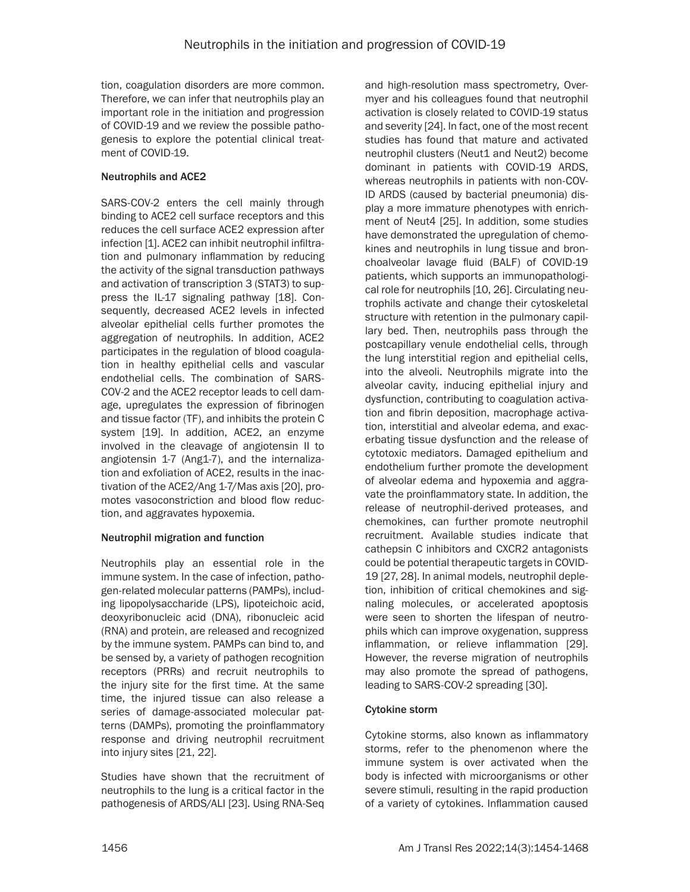tion, coagulation disorders are more common. Therefore, we can infer that neutrophils play an important role in the initiation and progression of COVID-19 and we review the possible pathogenesis to explore the potential clinical treatment of COVID-19.

## Neutrophils and ACE2

SARS-COV-2 enters the cell mainly through binding to ACE2 cell surface receptors and this reduces the cell surface ACE2 expression after infection [1]. ACE2 can inhibit neutrophil infiltration and pulmonary inflammation by reducing the activity of the signal transduction pathways and activation of transcription 3 (STAT3) to suppress the IL-17 signaling pathway [18]. Consequently, decreased ACE2 levels in infected alveolar epithelial cells further promotes the aggregation of neutrophils. In addition, ACE2 participates in the regulation of blood coagulation in healthy epithelial cells and vascular endothelial cells. The combination of SARS-COV-2 and the ACE2 receptor leads to cell damage, upregulates the expression of fibrinogen and tissue factor (TF), and inhibits the protein C system [19]. In addition, ACE2, an enzyme involved in the cleavage of angiotensin II to angiotensin 1-7 (Ang1-7), and the internalization and exfoliation of ACE2, results in the inactivation of the ACE2/Ang 1-7/Mas axis [20], promotes vasoconstriction and blood flow reduction, and aggravates hypoxemia.

## Neutrophil migration and function

Neutrophils play an essential role in the immune system. In the case of infection, pathogen-related molecular patterns (PAMPs), including lipopolysaccharide (LPS), lipoteichoic acid, deoxyribonucleic acid (DNA), ribonucleic acid (RNA) and protein, are released and recognized by the immune system. PAMPs can bind to, and be sensed by, a variety of pathogen recognition receptors (PRRs) and recruit neutrophils to the injury site for the first time. At the same time, the injured tissue can also release a series of damage-associated molecular patterns (DAMPs), promoting the proinflammatory response and driving neutrophil recruitment into injury sites [21, 22].

Studies have shown that the recruitment of neutrophils to the lung is a critical factor in the pathogenesis of ARDS/ALI [23]. Using RNA-Seq and high-resolution mass spectrometry, Overmyer and his colleagues found that neutrophil activation is closely related to COVID-19 status and severity [24]. In fact, one of the most recent studies has found that mature and activated neutrophil clusters (Neut1 and Neut2) become dominant in patients with COVID-19 ARDS, whereas neutrophils in patients with non-COV-ID ARDS (caused by bacterial pneumonia) display a more immature phenotypes with enrichment of Neut4 [25]. In addition, some studies have demonstrated the upregulation of chemokines and neutrophils in lung tissue and bronchoalveolar lavage fluid (BALF) of COVID-19 patients, which supports an immunopathological role for neutrophils [10, 26]. Circulating neutrophils activate and change their cytoskeletal structure with retention in the pulmonary capillary bed. Then, neutrophils pass through the postcapillary venule endothelial cells, through the lung interstitial region and epithelial cells, into the alveoli. Neutrophils migrate into the alveolar cavity, inducing epithelial injury and dysfunction, contributing to coagulation activation and fibrin deposition, macrophage activation, interstitial and alveolar edema, and exacerbating tissue dysfunction and the release of cytotoxic mediators. Damaged epithelium and endothelium further promote the development of alveolar edema and hypoxemia and aggravate the proinflammatory state. In addition, the release of neutrophil-derived proteases, and chemokines, can further promote neutrophil recruitment. Available studies indicate that cathepsin C inhibitors and CXCR2 antagonists could be potential therapeutic targets in COVID-19 [27, 28]. In animal models, neutrophil depletion, inhibition of critical chemokines and signaling molecules, or accelerated apoptosis were seen to shorten the lifespan of neutrophils which can improve oxygenation, suppress inflammation, or relieve inflammation [29]. However, the reverse migration of neutrophils may also promote the spread of pathogens, leading to SARS-COV-2 spreading [30].

## Cytokine storm

Cytokine storms, also known as inflammatory storms, refer to the phenomenon where the immune system is over activated when the body is infected with microorganisms or other severe stimuli, resulting in the rapid production of a variety of cytokines. Inflammation caused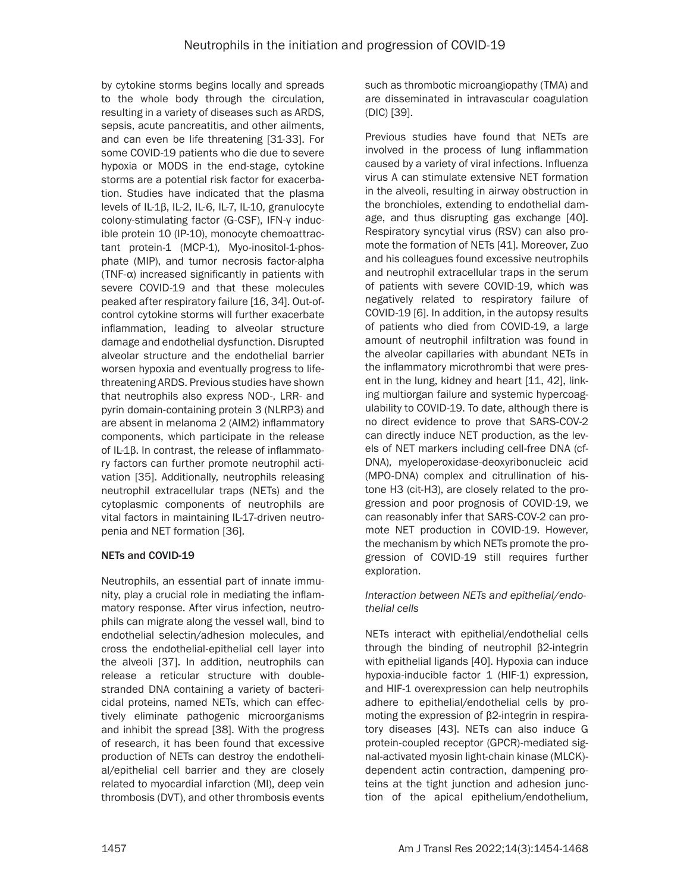by cytokine storms begins locally and spreads to the whole body through the circulation, resulting in a variety of diseases such as ARDS, sepsis, acute pancreatitis, and other ailments, and can even be life threatening [31-33]. For some COVID-19 patients who die due to severe hypoxia or MODS in the end-stage, cytokine storms are a potential risk factor for exacerbation. Studies have indicated that the plasma levels of IL-1β, IL-2, IL-6, IL-7, IL-10, granulocyte colony-stimulating factor (G-CSF), IFN-γ inducible protein 10 (IP-10), monocyte chemoattractant protein-1 (MCP-1), Myo-inositol-1-phosphate (MIP), and tumor necrosis factor-alpha (TNF-α) increased significantly in patients with severe COVID-19 and that these molecules peaked after respiratory failure [16, 34]. Out-ofcontrol cytokine storms will further exacerbate inflammation, leading to alveolar structure damage and endothelial dysfunction. Disrupted alveolar structure and the endothelial barrier worsen hypoxia and eventually progress to lifethreatening ARDS. Previous studies have shown that neutrophils also express NOD-, LRR- and pyrin domain-containing protein 3 (NLRP3) and are absent in melanoma 2 (AIM2) inflammatory components, which participate in the release of IL-1β. In contrast, the release of inflammatory factors can further promote neutrophil activation [35]. Additionally, neutrophils releasing neutrophil extracellular traps (NETs) and the cytoplasmic components of neutrophils are vital factors in maintaining IL-17-driven neutropenia and NET formation [36].

## NETs and COVID-19

Neutrophils, an essential part of innate immunity, play a crucial role in mediating the inflammatory response. After virus infection, neutrophils can migrate along the vessel wall, bind to endothelial selectin/adhesion molecules, and cross the endothelial-epithelial cell layer into the alveoli [37]. In addition, neutrophils can release a reticular structure with doublestranded DNA containing a variety of bactericidal proteins, named NETs, which can effectively eliminate pathogenic microorganisms and inhibit the spread [38]. With the progress of research, it has been found that excessive production of NETs can destroy the endothelial/epithelial cell barrier and they are closely related to myocardial infarction (MI), deep vein thrombosis (DVT), and other thrombosis events such as thrombotic microangiopathy (TMA) and are disseminated in intravascular coagulation (DIC) [39].

Previous studies have found that NETs are involved in the process of lung inflammation caused by a variety of viral infections. Influenza virus A can stimulate extensive NET formation in the alveoli, resulting in airway obstruction in the bronchioles, extending to endothelial damage, and thus disrupting gas exchange [40]. Respiratory syncytial virus (RSV) can also promote the formation of NETs [41]. Moreover, Zuo and his colleagues found excessive neutrophils and neutrophil extracellular traps in the serum of patients with severe COVID-19, which was negatively related to respiratory failure of COVID-19 [6]. In addition, in the autopsy results of patients who died from COVID-19, a large amount of neutrophil infiltration was found in the alveolar capillaries with abundant NETs in the inflammatory microthrombi that were present in the lung, kidney and heart [11, 42], linking multiorgan failure and systemic hypercoagulability to COVID-19. To date, although there is no direct evidence to prove that SARS-COV-2 can directly induce NET production, as the levels of NET markers including cell-free DNA (cf-DNA), myeloperoxidase-deoxyribonucleic acid (MPO-DNA) complex and citrullination of histone H3 (cit-H3), are closely related to the progression and poor prognosis of COVID-19, we can reasonably infer that SARS-COV-2 can promote NET production in COVID-19. However, the mechanism by which NETs promote the progression of COVID-19 still requires further exploration.

#### *Interaction between NETs and epithelial/endothelial cells*

NETs interact with epithelial/endothelial cells through the binding of neutrophil β2-integrin with epithelial ligands [40]. Hypoxia can induce hypoxia-inducible factor 1 (HIF-1) expression, and HIF-1 overexpression can help neutrophils adhere to epithelial/endothelial cells by promoting the expression of β2-integrin in respiratory diseases [43]. NETs can also induce G protein-coupled receptor (GPCR)-mediated signal-activated myosin light-chain kinase (MLCK) dependent actin contraction, dampening proteins at the tight junction and adhesion junction of the apical epithelium/endothelium,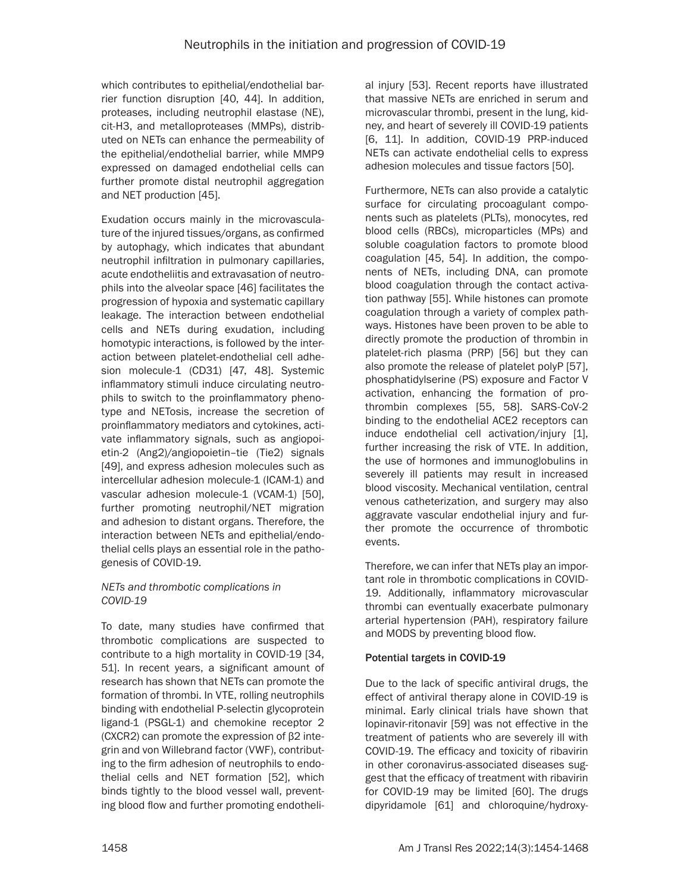which contributes to epithelial/endothelial barrier function disruption [40, 44]. In addition, proteases, including neutrophil elastase (NE), cit-H3, and metalloproteases (MMPs), distributed on NETs can enhance the permeability of the epithelial/endothelial barrier, while MMP9 expressed on damaged endothelial cells can further promote distal neutrophil aggregation and NET production [45].

Exudation occurs mainly in the microvasculature of the injured tissues/organs, as confirmed by autophagy, which indicates that abundant neutrophil infiltration in pulmonary capillaries, acute endotheliitis and extravasation of neutrophils into the alveolar space [46] facilitates the progression of hypoxia and systematic capillary leakage. The interaction between endothelial cells and NETs during exudation, including homotypic interactions, is followed by the interaction between platelet-endothelial cell adhesion molecule-1 (CD31) [47, 48]. Systemic inflammatory stimuli induce circulating neutrophils to switch to the proinflammatory phenotype and NETosis, increase the secretion of proinflammatory mediators and cytokines, activate inflammatory signals, such as angiopoietin-2 (Ang2)/angiopoietin–tie (Tie2) signals [49], and express adhesion molecules such as intercellular adhesion molecule-1 (ICAM-1) and vascular adhesion molecule-1 (VCAM-1) [50], further promoting neutrophil/NET migration and adhesion to distant organs. Therefore, the interaction between NETs and epithelial/endothelial cells plays an essential role in the pathogenesis of COVID-19.

# *NETs and thrombotic complications in COVID-19*

To date, many studies have confirmed that thrombotic complications are suspected to contribute to a high mortality in COVID-19 [34, 51]. In recent years, a significant amount of research has shown that NETs can promote the formation of thrombi. In VTE, rolling neutrophils binding with endothelial P-selectin glycoprotein ligand-1 (PSGL-1) and chemokine receptor 2 (CXCR2) can promote the expression of β2 integrin and von Willebrand factor (VWF), contributing to the firm adhesion of neutrophils to endothelial cells and NET formation [52], which binds tightly to the blood vessel wall, preventing blood flow and further promoting endothelial injury [53]. Recent reports have illustrated that massive NETs are enriched in serum and microvascular thrombi, present in the lung, kidney, and heart of severely ill COVID-19 patients [6, 11]. In addition, COVID-19 PRP-induced NETs can activate endothelial cells to express adhesion molecules and tissue factors [50].

Furthermore, NETs can also provide a catalytic surface for circulating procoagulant components such as platelets (PLTs), monocytes, red blood cells (RBCs), microparticles (MPs) and soluble coagulation factors to promote blood coagulation [45, 54]. In addition, the components of NETs, including DNA, can promote blood coagulation through the contact activation pathway [55]. While histones can promote coagulation through a variety of complex pathways. Histones have been proven to be able to directly promote the production of thrombin in platelet-rich plasma (PRP) [56] but they can also promote the release of platelet polyP [57], phosphatidylserine (PS) exposure and Factor V activation, enhancing the formation of prothrombin complexes [55, 58]. SARS-CoV-2 binding to the endothelial ACE2 receptors can induce endothelial cell activation/injury [1], further increasing the risk of VTE. In addition, the use of hormones and immunoglobulins in severely ill patients may result in increased blood viscosity. Mechanical ventilation, central venous catheterization, and surgery may also aggravate vascular endothelial injury and further promote the occurrence of thrombotic events.

Therefore, we can infer that NETs play an important role in thrombotic complications in COVID-19. Additionally, inflammatory microvascular thrombi can eventually exacerbate pulmonary arterial hypertension (PAH), respiratory failure and MODS by preventing blood flow.

# Potential targets in COVID-19

Due to the lack of specific antiviral drugs, the effect of antiviral therapy alone in COVID-19 is minimal. Early clinical trials have shown that lopinavir-ritonavir [59] was not effective in the treatment of patients who are severely ill with COVID-19. The efficacy and toxicity of ribavirin in other coronavirus-associated diseases suggest that the efficacy of treatment with ribavirin for COVID-19 may be limited [60]. The drugs dipyridamole [61] and chloroquine/hydroxy-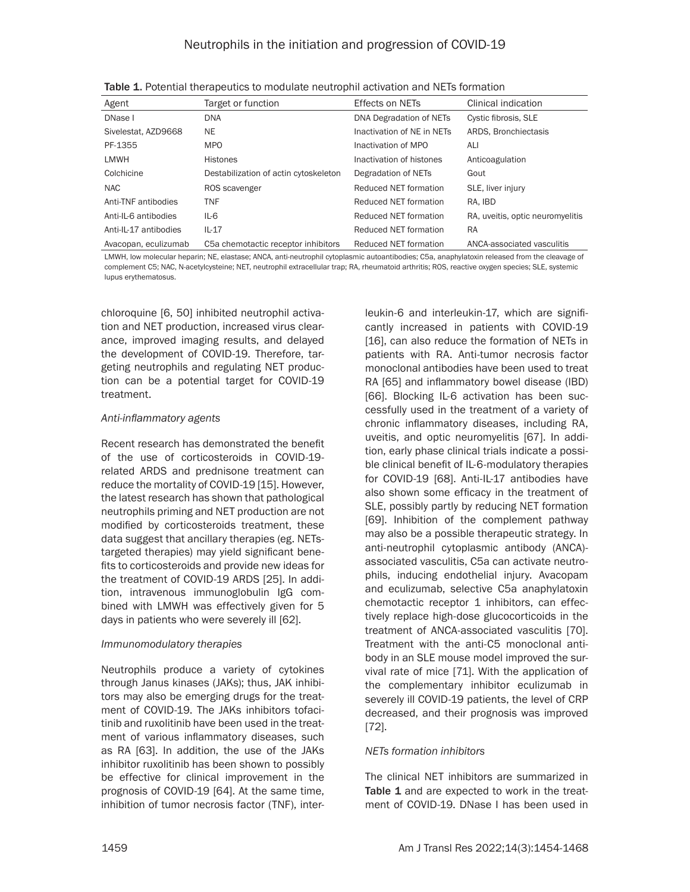| Agent                 | Target or function                    | <b>Effects on NETs</b>       | Clinical indication              |
|-----------------------|---------------------------------------|------------------------------|----------------------------------|
| DNase I               | <b>DNA</b>                            | DNA Degradation of NETs      | Cystic fibrosis, SLE             |
| Sivelestat, AZD9668   | <b>NE</b>                             | Inactivation of NE in NETs   | ARDS, Bronchiectasis             |
| PF-1355               | <b>MPO</b>                            | Inactivation of MPO          | ALI                              |
| LMWH                  | <b>Histones</b>                       | Inactivation of histones     | Anticoagulation                  |
| Colchicine            | Destabilization of actin cytoskeleton | Degradation of NETs          | Gout                             |
| <b>NAC</b>            | ROS scavenger                         | Reduced NET formation        | SLE, liver injury                |
| Anti-TNF antibodies   | <b>TNF</b>                            | Reduced NET formation        | RA. IBD                          |
| Anti-IL-6 antibodies  | $IL-6$                                | Reduced NET formation        | RA, uveitis, optic neuromyelitis |
| Anti-IL-17 antibodies | $IL-17$                               | Reduced NET formation        | <b>RA</b>                        |
| Avacopan, eculizumab  | C5a chemotactic receptor inhibitors   | <b>Reduced NET formation</b> | ANCA-associated vasculitis       |

Table 1. Potential therapeutics to modulate neutrophil activation and NETs formation

LMWH, low molecular heparin; NE, elastase; ANCA, anti-neutrophil cytoplasmic autoantibodies; C5a, anaphylatoxin released from the cleavage of complement C5; NAC, N-acetylcysteine; NET, neutrophil extracellular trap; RA, rheumatoid arthritis; ROS, reactive oxygen species; SLE, systemic lupus erythematosus.

chloroquine [6, 50] inhibited neutrophil activation and NET production, increased virus clearance, improved imaging results, and delayed the development of COVID-19. Therefore, targeting neutrophils and regulating NET production can be a potential target for COVID-19 treatment.

#### *Anti-inflammatory agents*

Recent research has demonstrated the benefit of the use of corticosteroids in COVID-19 related ARDS and prednisone treatment can reduce the mortality of COVID-19 [15]. However, the latest research has shown that pathological neutrophils priming and NET production are not modified by corticosteroids treatment, these data suggest that ancillary therapies (eg. NETstargeted therapies) may yield significant benefits to corticosteroids and provide new ideas for the treatment of COVID-19 ARDS [25]. In addition, intravenous immunoglobulin IgG combined with LMWH was effectively given for 5 days in patients who were severely ill [62].

## *Immunomodulatory therapies*

Neutrophils produce a variety of cytokines through Janus kinases (JAKs); thus, JAK inhibitors may also be emerging drugs for the treatment of COVID-19. The JAKs inhibitors tofacitinib and ruxolitinib have been used in the treatment of various inflammatory diseases, such as RA [63]. In addition, the use of the JAKs inhibitor ruxolitinib has been shown to possibly be effective for clinical improvement in the prognosis of COVID-19 [64]. At the same time, inhibition of tumor necrosis factor (TNF), interleukin-6 and interleukin-17, which are significantly increased in patients with COVID-19 [16], can also reduce the formation of NETs in patients with RA. Anti-tumor necrosis factor monoclonal antibodies have been used to treat RA [65] and inflammatory bowel disease (IBD) [66]. Blocking IL-6 activation has been successfully used in the treatment of a variety of chronic inflammatory diseases, including RA, uveitis, and optic neuromyelitis [67]. In addition, early phase clinical trials indicate a possible clinical benefit of IL-6-modulatory therapies for COVID-19 [68]. Anti-IL-17 antibodies have also shown some efficacy in the treatment of SLE, possibly partly by reducing NET formation [69]. Inhibition of the complement pathway may also be a possible therapeutic strategy. In anti-neutrophil cytoplasmic antibody (ANCA) associated vasculitis, C5a can activate neutrophils, inducing endothelial injury. Avacopam and eculizumab, selective C5a anaphylatoxin chemotactic receptor 1 inhibitors, can effectively replace high-dose glucocorticoids in the treatment of ANCA-associated vasculitis [70]. Treatment with the anti-C5 monoclonal antibody in an SLE mouse model improved the survival rate of mice [71]. With the application of the complementary inhibitor eculizumab in severely ill COVID-19 patients, the level of CRP decreased, and their prognosis was improved [72].

## *NETs formation inhibitors*

The clinical NET inhibitors are summarized in Table 1 and are expected to work in the treatment of COVID-19. DNase I has been used in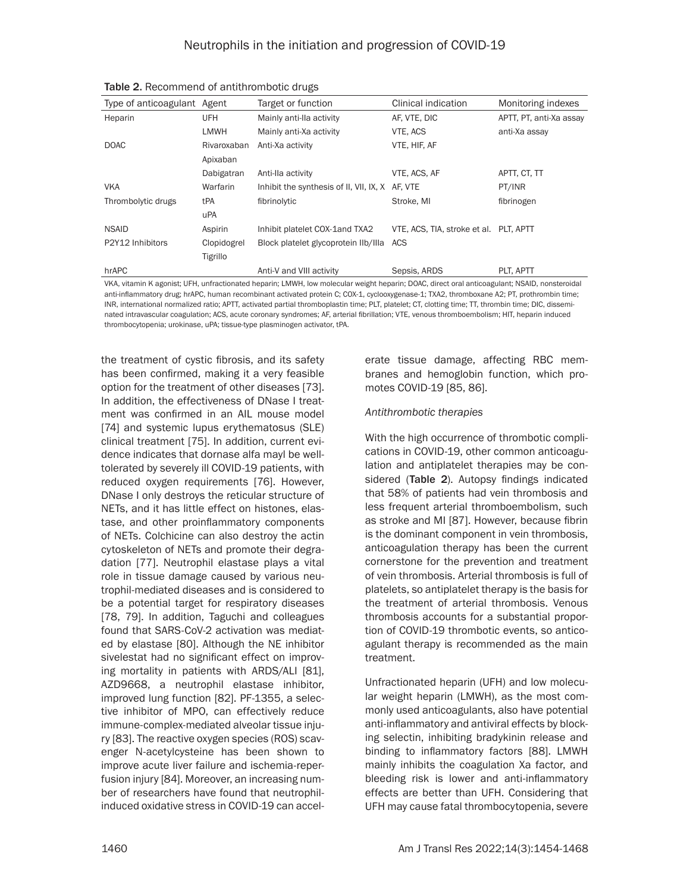| Type of anticoagulant Agent |             | Target or function                      | Clinical indication                    | Monitoring indexes      |
|-----------------------------|-------------|-----------------------------------------|----------------------------------------|-------------------------|
| Heparin                     | <b>UFH</b>  | Mainly anti-lla activity                | AF, VTE, DIC                           | APTT, PT, anti-Xa assay |
|                             | <b>LMWH</b> | Mainly anti-Xa activity                 | VTE, ACS                               | anti-Xa assay           |
| <b>DOAC</b>                 | Rivaroxaban | Anti-Xa activity                        | VTE, HIF, AF                           |                         |
|                             | Apixaban    |                                         |                                        |                         |
|                             | Dabigatran  | Anti-Ila activity                       | VTE, ACS, AF                           | APTT, CT, TT            |
| <b>VKA</b>                  | Warfarin    | Inhibit the synthesis of II, VII, IX, X | AF. VTE                                | PT/INR                  |
| Thrombolytic drugs          | tPA         | fibrinolytic                            | Stroke, MI                             | fibrinogen              |
|                             | uPA         |                                         |                                        |                         |
| <b>NSAID</b>                | Aspirin     | Inhibit platelet COX-1and TXA2          | VTE, ACS, TIA, stroke et al. PLT, APTT |                         |
| P2Y12 Inhibitors            | Clopidogrel | Block platelet glycoprotein llb/llla    | <b>ACS</b>                             |                         |
|                             | Tigrillo    |                                         |                                        |                         |
| hrAPC                       |             | Anti-V and VIII activity                | Sepsis, ARDS                           | PLT. APTT               |

Table 2. Recommend of antithrombotic drugs

VKA, vitamin K agonist; UFH, unfractionated heparin; LMWH, low molecular weight heparin; DOAC, direct oral anticoagulant; NSAID, nonsteroidal anti-inflammatory drug; hrAPC, human recombinant activated protein C; COX-1, cyclooxygenase-1; TXA2, thromboxane A2; PT, prothrombin time; INR, international normalized ratio; APTT, activated partial thromboplastin time; PLT, platelet; CT, clotting time; TT, thrombin time; DIC, disseminated intravascular coagulation; ACS, acute coronary syndromes; AF, arterial fibrillation; VTE, venous thromboembolism; HIT, heparin induced thrombocytopenia; urokinase, uPA; tissue-type plasminogen activator, tPA.

the treatment of cystic fibrosis, and its safety has been confirmed, making it a very feasible option for the treatment of other diseases [73]. In addition, the effectiveness of DNase I treatment was confirmed in an AIL mouse model [74] and systemic lupus erythematosus (SLE) clinical treatment [75]. In addition, current evidence indicates that dornase alfa mayl be welltolerated by severely ill COVID-19 patients, with reduced oxygen requirements [76]. However, DNase I only destroys the reticular structure of NETs, and it has little effect on histones, elastase, and other proinflammatory components of NETs. Colchicine can also destroy the actin cytoskeleton of NETs and promote their degradation [77]. Neutrophil elastase plays a vital role in tissue damage caused by various neutrophil-mediated diseases and is considered to be a potential target for respiratory diseases [78, 79]. In addition, Taguchi and colleagues found that SARS-CoV-2 activation was mediated by elastase [80]. Although the NE inhibitor sivelestat had no significant effect on improving mortality in patients with ARDS/ALI [81], AZD9668, a neutrophil elastase inhibitor, improved lung function [82]. PF-1355, a selective inhibitor of MPO, can effectively reduce immune-complex-mediated alveolar tissue injury [83]. The reactive oxygen species (ROS) scavenger N-acetylcysteine has been shown to improve acute liver failure and ischemia-reperfusion injury [84]. Moreover, an increasing number of researchers have found that neutrophilinduced oxidative stress in COVID-19 can accelerate tissue damage, affecting RBC membranes and hemoglobin function, which promotes COVID-19 [85, 86].

#### *Antithrombotic therapies*

With the high occurrence of thrombotic complications in COVID-19, other common anticoagulation and antiplatelet therapies may be considered (Table 2). Autopsy findings indicated that 58% of patients had vein thrombosis and less frequent arterial thromboembolism, such as stroke and MI [87]. However, because fibrin is the dominant component in vein thrombosis, anticoagulation therapy has been the current cornerstone for the prevention and treatment of vein thrombosis. Arterial thrombosis is full of platelets, so antiplatelet therapy is the basis for the treatment of arterial thrombosis. Venous thrombosis accounts for a substantial proportion of COVID-19 thrombotic events, so anticoagulant therapy is recommended as the main treatment.

Unfractionated heparin (UFH) and low molecular weight heparin (LMWH), as the most commonly used anticoagulants, also have potential anti-inflammatory and antiviral effects by blocking selectin, inhibiting bradykinin release and binding to inflammatory factors [88]. LMWH mainly inhibits the coagulation Xa factor, and bleeding risk is lower and anti-inflammatory effects are better than UFH. Considering that UFH may cause fatal thrombocytopenia, severe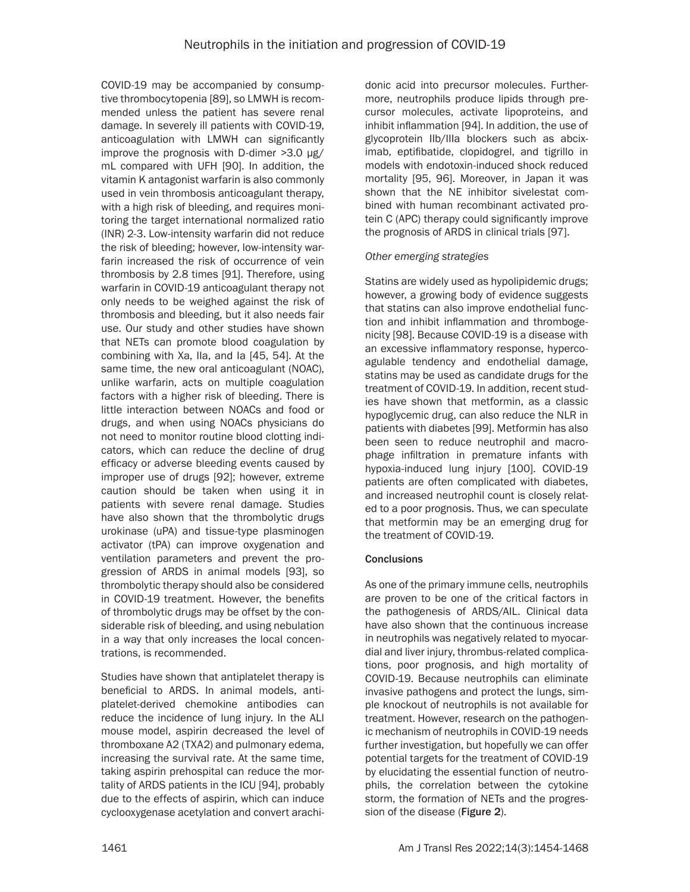COVID-19 may be accompanied by consumptive thrombocytopenia [89], so LMWH is recommended unless the patient has severe renal damage. In severely ill patients with COVID-19, anticoagulation with LMWH can significantly improve the prognosis with D-dimer >3.0 μg/ mL compared with UFH [90]. In addition, the vitamin K antagonist warfarin is also commonly used in vein thrombosis anticoagulant therapy, with a high risk of bleeding, and requires monitoring the target international normalized ratio (INR) 2-3. Low-intensity warfarin did not reduce the risk of bleeding; however, low-intensity warfarin increased the risk of occurrence of vein thrombosis by 2.8 times [91]. Therefore, using warfarin in COVID-19 anticoagulant therapy not only needs to be weighed against the risk of thrombosis and bleeding, but it also needs fair use. Our study and other studies have shown that NETs can promote blood coagulation by combining with Xa, IIa, and Ia [45, 54]. At the same time, the new oral anticoagulant (NOAC), unlike warfarin, acts on multiple coagulation factors with a higher risk of bleeding. There is little interaction between NOACs and food or drugs, and when using NOACs physicians do not need to monitor routine blood clotting indicators, which can reduce the decline of drug efficacy or adverse bleeding events caused by improper use of drugs [92]; however, extreme caution should be taken when using it in patients with severe renal damage. Studies have also shown that the thrombolytic drugs urokinase (uPA) and tissue-type plasminogen activator (tPA) can improve oxygenation and ventilation parameters and prevent the progression of ARDS in animal models [93], so thrombolytic therapy should also be considered in COVID-19 treatment. However, the benefits of thrombolytic drugs may be offset by the considerable risk of bleeding, and using nebulation in a way that only increases the local concentrations, is recommended.

Studies have shown that antiplatelet therapy is beneficial to ARDS. In animal models, antiplatelet-derived chemokine antibodies can reduce the incidence of lung injury. In the ALI mouse model, aspirin decreased the level of thromboxane A2 (TXA2) and pulmonary edema, increasing the survival rate. At the same time, taking aspirin prehospital can reduce the mortality of ARDS patients in the ICU [94], probably due to the effects of aspirin, which can induce cyclooxygenase acetylation and convert arachidonic acid into precursor molecules. Furthermore, neutrophils produce lipids through precursor molecules, activate lipoproteins, and inhibit inflammation [94]. In addition, the use of glycoprotein IIb/IIIa blockers such as abciximab, eptifibatide, clopidogrel, and tigrillo in models with endotoxin-induced shock reduced mortality [95, 96]. Moreover, in Japan it was shown that the NE inhibitor sivelestat combined with human recombinant activated protein C (APC) therapy could significantly improve the prognosis of ARDS in clinical trials [97].

## *Other emerging strategies*

Statins are widely used as hypolipidemic drugs; however, a growing body of evidence suggests that statins can also improve endothelial function and inhibit inflammation and thrombogenicity [98]. Because COVID-19 is a disease with an excessive inflammatory response, hypercoagulable tendency and endothelial damage, statins may be used as candidate drugs for the treatment of COVID-19. In addition, recent studies have shown that metformin, as a classic hypoglycemic drug, can also reduce the NLR in patients with diabetes [99]. Metformin has also been seen to reduce neutrophil and macrophage infiltration in premature infants with hypoxia-induced lung injury [100]. COVID-19 patients are often complicated with diabetes, and increased neutrophil count is closely related to a poor prognosis. Thus, we can speculate that metformin may be an emerging drug for the treatment of COVID-19.

## **Conclusions**

As one of the primary immune cells, neutrophils are proven to be one of the critical factors in the pathogenesis of ARDS/AIL. Clinical data have also shown that the continuous increase in neutrophils was negatively related to myocardial and liver injury, thrombus-related complications, poor prognosis, and high mortality of COVID-19. Because neutrophils can eliminate invasive pathogens and protect the lungs, simple knockout of neutrophils is not available for treatment. However, research on the pathogenic mechanism of neutrophils in COVID-19 needs further investigation, but hopefully we can offer potential targets for the treatment of COVID-19 by elucidating the essential function of neutrophils, the correlation between the cytokine storm, the formation of NETs and the progression of the disease (Figure 2).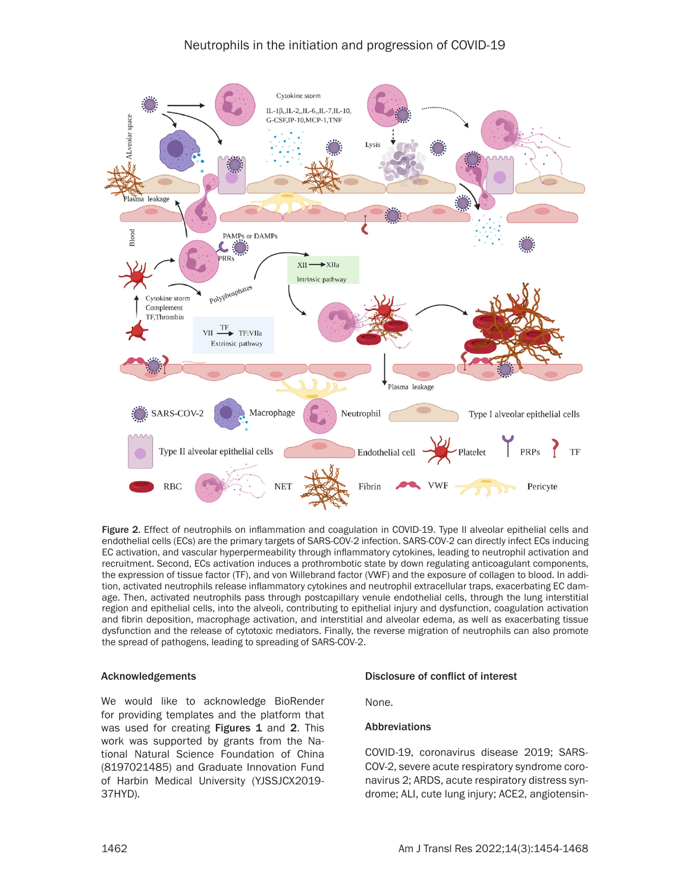# Neutrophils in the initiation and progression of COVID-19



Figure 2. Effect of neutrophils on inflammation and coagulation in COVID-19. Type II alveolar epithelial cells and endothelial cells (ECs) are the primary targets of SARS-COV-2 infection. SARS-COV-2 can directly infect ECs inducing EC activation, and vascular hyperpermeability through inflammatory cytokines, leading to neutrophil activation and recruitment. Second, ECs activation induces a prothrombotic state by down regulating anticoagulant components, the expression of tissue factor (TF), and von Willebrand factor (VWF) and the exposure of collagen to blood. In addition, activated neutrophils release inflammatory cytokines and neutrophil extracellular traps, exacerbating EC damage. Then, activated neutrophils pass through postcapillary venule endothelial cells, through the lung interstitial region and epithelial cells, into the alveoli, contributing to epithelial injury and dysfunction, coagulation activation and fibrin deposition, macrophage activation, and interstitial and alveolar edema, as well as exacerbating tissue dysfunction and the release of cytotoxic mediators. Finally, the reverse migration of neutrophils can also promote the spread of pathogens, leading to spreading of SARS-COV-2.

#### Acknowledgements

We would like to acknowledge BioRender for providing templates and the platform that was used for creating **Figures 1** and 2. This work was supported by grants from the National Natural Science Foundation of China (8197021485) and Graduate Innovation Fund of Harbin Medical University (YJSSJCX2019- 37HYD).

#### Disclosure of conflict of interest

None.

#### Abbreviations

COVID-19, coronavirus disease 2019; SARS-COV-2, severe acute respiratory syndrome coronavirus 2; ARDS, acute respiratory distress syndrome; ALI, cute lung injury; ACE2, angiotensin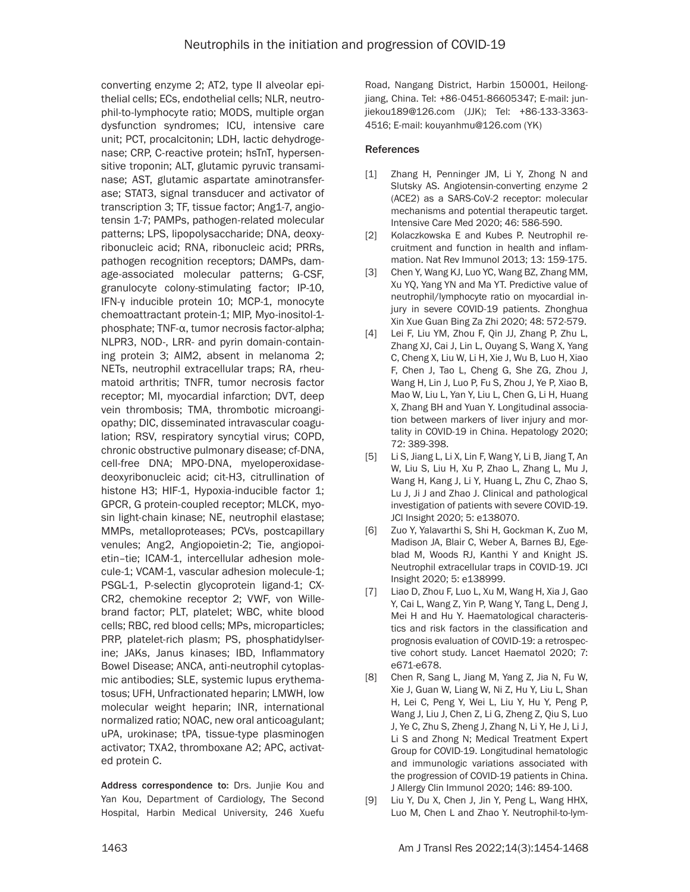converting enzyme 2; AT2, type II alveolar epithelial cells; ECs, endothelial cells; NLR, neutrophil-to-lymphocyte ratio; MODS, multiple organ dysfunction syndromes; ICU, intensive care unit; PCT, procalcitonin; LDH, lactic dehydrogenase; CRP, C-reactive protein; hsTnT, hypersensitive troponin; ALT, glutamic pyruvic transaminase; AST, glutamic aspartate aminotransferase; STAT3, signal transducer and activator of transcription 3; TF, tissue factor; Ang1-7, angiotensin 1-7; PAMPs, pathogen-related molecular patterns; LPS, lipopolysaccharide; DNA, deoxyribonucleic acid; RNA, ribonucleic acid; PRRs, pathogen recognition receptors; DAMPs, damage-associated molecular patterns; G-CSF, granulocyte colony-stimulating factor; IP-10, IFN-γ inducible protein 10; MCP-1, monocyte chemoattractant protein-1; MIP, Myo-inositol-1 phosphate; TNF-α, tumor necrosis factor-alpha; NLPR3, NOD-, LRR- and pyrin domain-containing protein 3; AIM2, absent in melanoma 2; NETs, neutrophil extracellular traps; RA, rheumatoid arthritis; TNFR, tumor necrosis factor receptor; MI, myocardial infarction; DVT, deep vein thrombosis; TMA, thrombotic microangiopathy; DIC, disseminated intravascular coagulation; RSV, respiratory syncytial virus; COPD, chronic obstructive pulmonary disease; cf-DNA, cell-free DNA; MPO-DNA, myeloperoxidasedeoxyribonucleic acid; cit-H3, citrullination of histone H3; HIF-1, Hypoxia-inducible factor 1; GPCR, G protein-coupled receptor; MLCK, myosin light-chain kinase; NE, neutrophil elastase; MMPs, metalloproteases; PCVs, postcapillary venules; Ang2, Angiopoietin-2; Tie, angiopoietin–tie; ICAM-1, intercellular adhesion molecule-1; VCAM-1, vascular adhesion molecule-1; PSGL-1, P-selectin glycoprotein ligand-1; CX-CR2, chemokine receptor 2; VWF, von Willebrand factor; PLT, platelet; WBC, white blood cells; RBC, red blood cells; MPs, microparticles; PRP, platelet-rich plasm; PS, phosphatidylserine; JAKs, Janus kinases; IBD, Inflammatory Bowel Disease; ANCA, anti-neutrophil cytoplasmic antibodies; SLE, systemic lupus erythematosus; UFH, Unfractionated heparin; LMWH, low molecular weight heparin; INR, international normalized ratio; NOAC, new oral anticoagulant; uPA, urokinase; tPA, tissue-type plasminogen activator; TXA2, thromboxane A2; APC, activated protein C.

Address correspondence to: Drs. Junjie Kou and Yan Kou, Department of Cardiology, The Second Hospital, Harbin Medical University, 246 Xuefu

Road, Nangang District, Harbin 150001, Heilongjiang, China. Tel: +86-0451-86605347; E-mail: [jun](mailto:junjiekou189@126.com)[jiekou189@126.com](mailto:junjiekou189@126.com) (JJK); Tel: +86-133-3363- 4516; E-mail: kouyanhmu@126.com (YK)

#### References

- [1] Zhang H, Penninger JM, Li Y, Zhong N and Slutsky AS. Angiotensin-converting enzyme 2 (ACE2) as a SARS-CoV-2 receptor: molecular mechanisms and potential therapeutic target. Intensive Care Med 2020; 46: 586-590.
- [2] Kolaczkowska E and Kubes P. Neutrophil recruitment and function in health and inflammation. Nat Rev Immunol 2013; 13: 159-175.
- [3] Chen Y, Wang KJ, Luo YC, Wang BZ, Zhang MM, Xu YQ, Yang YN and Ma YT. Predictive value of neutrophil/lymphocyte ratio on myocardial injury in severe COVID-19 patients. Zhonghua Xin Xue Guan Bing Za Zhi 2020; 48: 572-579.
- [4] Lei F, Liu YM, Zhou F, Qin JJ, Zhang P, Zhu L, Zhang XJ, Cai J, Lin L, Ouyang S, Wang X, Yang C, Cheng X, Liu W, Li H, Xie J, Wu B, Luo H, Xiao F, Chen J, Tao L, Cheng G, She ZG, Zhou J, Wang H, Lin J, Luo P, Fu S, Zhou J, Ye P, Xiao B, Mao W, Liu L, Yan Y, Liu L, Chen G, Li H, Huang X, Zhang BH and Yuan Y. Longitudinal association between markers of liver injury and mortality in COVID-19 in China. Hepatology 2020; 72: 389-398.
- [5] Li S, Jiang L, Li X, Lin F, Wang Y, Li B, Jiang T, An W, Liu S, Liu H, Xu P, Zhao L, Zhang L, Mu J, Wang H, Kang J, Li Y, Huang L, Zhu C, Zhao S, Lu J, Ji J and Zhao J. Clinical and pathological investigation of patients with severe COVID-19. JCI Insight 2020; 5: e138070.
- [6] Zuo Y, Yalavarthi S, Shi H, Gockman K, Zuo M, Madison JA, Blair C, Weber A, Barnes BJ, Egeblad M, Woods RJ, Kanthi Y and Knight JS. Neutrophil extracellular traps in COVID-19. JCI Insight 2020; 5: e138999.
- [7] Liao D, Zhou F, Luo L, Xu M, Wang H, Xia J, Gao Y, Cai L, Wang Z, Yin P, Wang Y, Tang L, Deng J, Mei H and Hu Y. Haematological characteristics and risk factors in the classification and prognosis evaluation of COVID-19: a retrospective cohort study. Lancet Haematol 2020; 7: e671-e678.
- [8] Chen R, Sang L, Jiang M, Yang Z, Jia N, Fu W, Xie J, Guan W, Liang W, Ni Z, Hu Y, Liu L, Shan H, Lei C, Peng Y, Wei L, Liu Y, Hu Y, Peng P, Wang J, Liu J, Chen Z, Li G, Zheng Z, Qiu S, Luo J, Ye C, Zhu S, Zheng J, Zhang N, Li Y, He J, Li J, Li S and Zhong N; Medical Treatment Expert Group for COVID-19. Longitudinal hematologic and immunologic variations associated with the progression of COVID-19 patients in China. J Allergy Clin Immunol 2020; 146: 89-100.
- [9] Liu Y, Du X, Chen J, Jin Y, Peng L, Wang HHX, Luo M, Chen L and Zhao Y. Neutrophil-to-lym-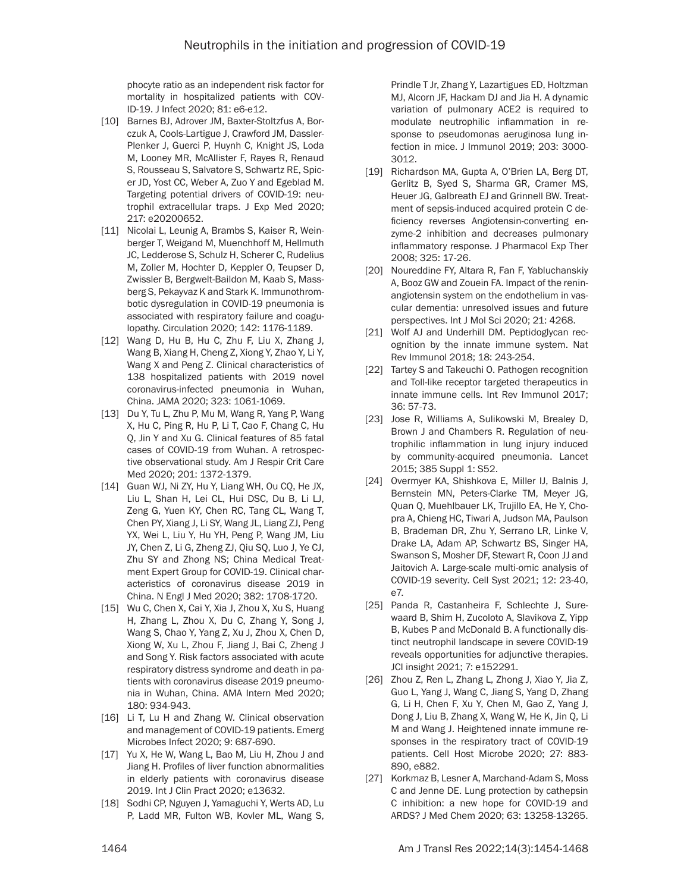phocyte ratio as an independent risk factor for mortality in hospitalized patients with COV-ID-19. J Infect 2020; 81: e6-e12.

- [10] Barnes BJ, Adrover JM, Baxter-Stoltzfus A, Borczuk A, Cools-Lartigue J, Crawford JM, Dassler-Plenker J, Guerci P, Huynh C, Knight JS, Loda M, Looney MR, McAllister F, Rayes R, Renaud S, Rousseau S, Salvatore S, Schwartz RE, Spicer JD, Yost CC, Weber A, Zuo Y and Egeblad M. Targeting potential drivers of COVID-19: neutrophil extracellular traps. J Exp Med 2020; 217: e20200652.
- [11] Nicolai L, Leunig A, Brambs S, Kaiser R, Weinberger T, Weigand M, Muenchhoff M, Hellmuth JC, Ledderose S, Schulz H, Scherer C, Rudelius M, Zoller M, Hochter D, Keppler O, Teupser D, Zwissler B, Bergwelt-Baildon M, Kaab S, Massberg S, Pekayvaz K and Stark K. Immunothrombotic dysregulation in COVID-19 pneumonia is associated with respiratory failure and coagulopathy. Circulation 2020; 142: 1176-1189.
- [12] Wang D, Hu B, Hu C, Zhu F, Liu X, Zhang J, Wang B, Xiang H, Cheng Z, Xiong Y, Zhao Y, Li Y, Wang X and Peng Z. Clinical characteristics of 138 hospitalized patients with 2019 novel coronavirus-infected pneumonia in Wuhan, China. JAMA 2020; 323: 1061-1069.
- [13] Du Y, Tu L, Zhu P, Mu M, Wang R, Yang P, Wang X, Hu C, Ping R, Hu P, Li T, Cao F, Chang C, Hu Q, Jin Y and Xu G. Clinical features of 85 fatal cases of COVID-19 from Wuhan. A retrospective observational study. Am J Respir Crit Care Med 2020; 201: 1372-1379.
- [14] Guan WJ, Ni ZY, Hu Y, Liang WH, Ou CQ, He JX, Liu L, Shan H, Lei CL, Hui DSC, Du B, Li LJ, Zeng G, Yuen KY, Chen RC, Tang CL, Wang T, Chen PY, Xiang J, Li SY, Wang JL, Liang ZJ, Peng YX, Wei L, Liu Y, Hu YH, Peng P, Wang JM, Liu JY, Chen Z, Li G, Zheng ZJ, Qiu SQ, Luo J, Ye CJ, Zhu SY and Zhong NS; China Medical Treatment Expert Group for COVID-19. Clinical characteristics of coronavirus disease 2019 in China. N Engl J Med 2020; 382: 1708-1720.
- [15] Wu C, Chen X, Cai Y, Xia J, Zhou X, Xu S, Huang H, Zhang L, Zhou X, Du C, Zhang Y, Song J, Wang S, Chao Y, Yang Z, Xu J, Zhou X, Chen D, Xiong W, Xu L, Zhou F, Jiang J, Bai C, Zheng J and Song Y. Risk factors associated with acute respiratory distress syndrome and death in patients with coronavirus disease 2019 pneumonia in Wuhan, China. AMA Intern Med 2020; 180: 934-943.
- [16] Li T, Lu H and Zhang W. Clinical observation and management of COVID-19 patients. Emerg Microbes Infect 2020; 9: 687-690.
- [17] Yu X, He W, Wang L, Bao M, Liu H, Zhou J and Jiang H. Profiles of liver function abnormalities in elderly patients with coronavirus disease 2019. Int J Clin Pract 2020; e13632.
- [18] Sodhi CP, Nguyen J, Yamaguchi Y, Werts AD, Lu P, Ladd MR, Fulton WB, Kovler ML, Wang S,

Prindle T Jr, Zhang Y, Lazartigues ED, Holtzman MJ, Alcorn JF, Hackam DJ and Jia H. A dynamic variation of pulmonary ACE2 is required to modulate neutrophilic inflammation in response to pseudomonas aeruginosa lung infection in mice. J Immunol 2019; 203: 3000- 3012.

- [19] Richardson MA, Gupta A, O'Brien LA, Berg DT, Gerlitz B, Syed S, Sharma GR, Cramer MS, Heuer JG, Galbreath EJ and Grinnell BW. Treatment of sepsis-induced acquired protein C deficiency reverses Angiotensin-converting enzyme-2 inhibition and decreases pulmonary inflammatory response. J Pharmacol Exp Ther 2008; 325: 17-26.
- [20] Noureddine FY, Altara R, Fan F, Yabluchanskiy A, Booz GW and Zouein FA. Impact of the reninangiotensin system on the endothelium in vascular dementia: unresolved issues and future perspectives. Int J Mol Sci 2020; 21: 4268.
- [21] Wolf AJ and Underhill DM. Peptidoglycan recognition by the innate immune system. Nat Rev Immunol 2018; 18: 243-254.
- [22] Tartey S and Takeuchi O. Pathogen recognition and Toll-like receptor targeted therapeutics in innate immune cells. Int Rev Immunol 2017; 36: 57-73.
- [23] Jose R, Williams A, Sulikowski M, Brealey D, Brown J and Chambers R. Regulation of neutrophilic inflammation in lung injury induced by community-acquired pneumonia. Lancet 2015; 385 Suppl 1: S52.
- [24] Overmyer KA, Shishkova E, Miller IJ, Balnis J, Bernstein MN, Peters-Clarke TM, Meyer JG, Quan Q, Muehlbauer LK, Trujillo EA, He Y, Chopra A, Chieng HC, Tiwari A, Judson MA, Paulson B, Brademan DR, Zhu Y, Serrano LR, Linke V, Drake LA, Adam AP, Schwartz BS, Singer HA, Swanson S, Mosher DF, Stewart R, Coon JJ and Jaitovich A. Large-scale multi-omic analysis of COVID-19 severity. Cell Syst 2021; 12: 23-40, e7.
- [25] Panda R, Castanheira F, Schlechte J, Surewaard B, Shim H, Zucoloto A, Slavikova Z, Yipp B, Kubes P and McDonald B. A functionally distinct neutrophil landscape in severe COVID-19 reveals opportunities for adjunctive therapies. JCI insight 2021; 7: e152291.
- [26] Zhou Z, Ren L, Zhang L, Zhong J, Xiao Y, Jia Z, Guo L, Yang J, Wang C, Jiang S, Yang D, Zhang G, Li H, Chen F, Xu Y, Chen M, Gao Z, Yang J, Dong J, Liu B, Zhang X, Wang W, He K, Jin Q, Li M and Wang J. Heightened innate immune responses in the respiratory tract of COVID-19 patients. Cell Host Microbe 2020; 27: 883- 890, e882.
- [27] Korkmaz B, Lesner A, Marchand-Adam S, Moss C and Jenne DE. Lung protection by cathepsin C inhibition: a new hope for COVID-19 and ARDS? J Med Chem 2020; 63: 13258-13265.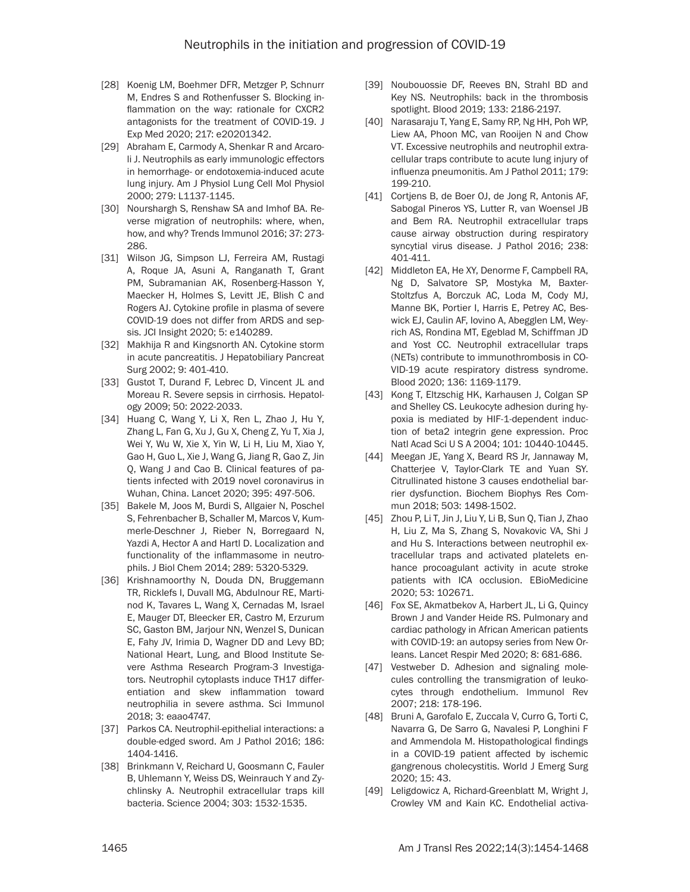- [28] Koenig LM, Boehmer DFR, Metzger P, Schnurr M, Endres S and Rothenfusser S. Blocking inflammation on the way: rationale for CXCR2 antagonists for the treatment of COVID-19. J Exp Med 2020; 217: e20201342.
- [29] Abraham E, Carmody A, Shenkar R and Arcaroli J. Neutrophils as early immunologic effectors in hemorrhage- or endotoxemia-induced acute lung injury. Am J Physiol Lung Cell Mol Physiol 2000; 279: L1137-1145.
- [30] Nourshargh S, Renshaw SA and Imhof BA. Reverse migration of neutrophils: where, when, how, and why? Trends Immunol 2016; 37: 273- 286.
- [31] Wilson JG, Simpson LJ, Ferreira AM, Rustagi A, Roque JA, Asuni A, Ranganath T, Grant PM, Subramanian AK, Rosenberg-Hasson Y, Maecker H, Holmes S, Levitt JE, Blish C and Rogers AJ. Cytokine profile in plasma of severe COVID-19 does not differ from ARDS and sepsis. JCI Insight 2020; 5: e140289.
- [32] Makhija R and Kingsnorth AN. Cytokine storm in acute pancreatitis. J Hepatobiliary Pancreat Surg 2002; 9: 401-410.
- [33] Gustot T, Durand F, Lebrec D, Vincent JL and Moreau R. Severe sepsis in cirrhosis. Hepatology 2009; 50: 2022-2033.
- [34] Huang C, Wang Y, Li X, Ren L, Zhao J, Hu Y, Zhang L, Fan G, Xu J, Gu X, Cheng Z, Yu T, Xia J, Wei Y, Wu W, Xie X, Yin W, Li H, Liu M, Xiao Y, Gao H, Guo L, Xie J, Wang G, Jiang R, Gao Z, Jin Q, Wang J and Cao B. Clinical features of patients infected with 2019 novel coronavirus in Wuhan, China. Lancet 2020; 395: 497-506.
- [35] Bakele M, Joos M, Burdi S, Allgaier N, Poschel S, Fehrenbacher B, Schaller M, Marcos V, Kummerle-Deschner J, Rieber N, Borregaard N, Yazdi A, Hector A and Hartl D. Localization and functionality of the inflammasome in neutrophils. J Biol Chem 2014; 289: 5320-5329.
- [36] Krishnamoorthy N, Douda DN, Bruggemann TR, Ricklefs I, Duvall MG, Abdulnour RE, Martinod K, Tavares L, Wang X, Cernadas M, Israel E, Mauger DT, Bleecker ER, Castro M, Erzurum SC, Gaston BM, Jarjour NN, Wenzel S, Dunican E, Fahy JV, Irimia D, Wagner DD and Levy BD; National Heart, Lung, and Blood Institute Severe Asthma Research Program-3 Investigators. Neutrophil cytoplasts induce TH17 differentiation and skew inflammation toward neutrophilia in severe asthma. Sci Immunol 2018; 3: eaao4747.
- [37] Parkos CA. Neutrophil-epithelial interactions: a double-edged sword. Am J Pathol 2016; 186: 1404-1416.
- [38] Brinkmann V, Reichard U, Goosmann C, Fauler B, Uhlemann Y, Weiss DS, Weinrauch Y and Zychlinsky A. Neutrophil extracellular traps kill bacteria. Science 2004; 303: 1532-1535.
- [39] Noubouossie DF, Reeves BN, Strahl BD and Key NS. Neutrophils: back in the thrombosis spotlight. Blood 2019; 133: 2186-2197.
- [40] Narasaraju T, Yang E, Samy RP, Ng HH, Poh WP, Liew AA, Phoon MC, van Rooijen N and Chow VT. Excessive neutrophils and neutrophil extracellular traps contribute to acute lung injury of influenza pneumonitis. Am J Pathol 2011; 179: 199-210.
- [41] Cortiens B, de Boer OJ, de Jong R, Antonis AF, Sabogal Pineros YS, Lutter R, van Woensel JB and Bem RA. Neutrophil extracellular traps cause airway obstruction during respiratory syncytial virus disease. J Pathol 2016; 238: 401-411.
- [42] Middleton EA, He XY, Denorme F, Campbell RA, Ng D, Salvatore SP, Mostyka M, Baxter-Stoltzfus A, Borczuk AC, Loda M, Cody MJ, Manne BK, Portier I, Harris E, Petrey AC, Beswick EJ, Caulin AF, Iovino A, Abegglen LM, Weyrich AS, Rondina MT, Egeblad M, Schiffman JD and Yost CC. Neutrophil extracellular traps (NETs) contribute to immunothrombosis in CO-VID-19 acute respiratory distress syndrome. Blood 2020; 136: 1169-1179.
- [43] Kong T, Eltzschig HK, Karhausen J, Colgan SP and Shelley CS. Leukocyte adhesion during hypoxia is mediated by HIF-1-dependent induction of beta2 integrin gene expression. Proc Natl Acad Sci U S A 2004; 101: 10440-10445.
- [44] Meegan JE, Yang X, Beard RS Jr, Jannaway M, Chatterjee V, Taylor-Clark TE and Yuan SY. Citrullinated histone 3 causes endothelial barrier dysfunction. Biochem Biophys Res Commun 2018; 503: 1498-1502.
- [45] Zhou P, Li T, Jin J, Liu Y, Li B, Sun Q, Tian J, Zhao H, Liu Z, Ma S, Zhang S, Novakovic VA, Shi J and Hu S. Interactions between neutrophil extracellular traps and activated platelets enhance procoagulant activity in acute stroke patients with ICA occlusion. EBioMedicine 2020; 53: 102671.
- [46] Fox SE, Akmatbekov A, Harbert JL, Li G, Quincy Brown J and Vander Heide RS. Pulmonary and cardiac pathology in African American patients with COVID-19: an autopsy series from New Orleans. Lancet Respir Med 2020; 8: 681-686.
- [47] Vestweber D. Adhesion and signaling molecules controlling the transmigration of leukocytes through endothelium. Immunol Rev 2007; 218: 178-196.
- [48] Bruni A, Garofalo E, Zuccala V, Curro G, Torti C, Navarra G, De Sarro G, Navalesi P, Longhini F and Ammendola M. Histopathological findings in a COVID-19 patient affected by ischemic gangrenous cholecystitis. World J Emerg Surg 2020; 15: 43.
- [49] Leligdowicz A, Richard-Greenblatt M, Wright J, Crowley VM and Kain KC. Endothelial activa-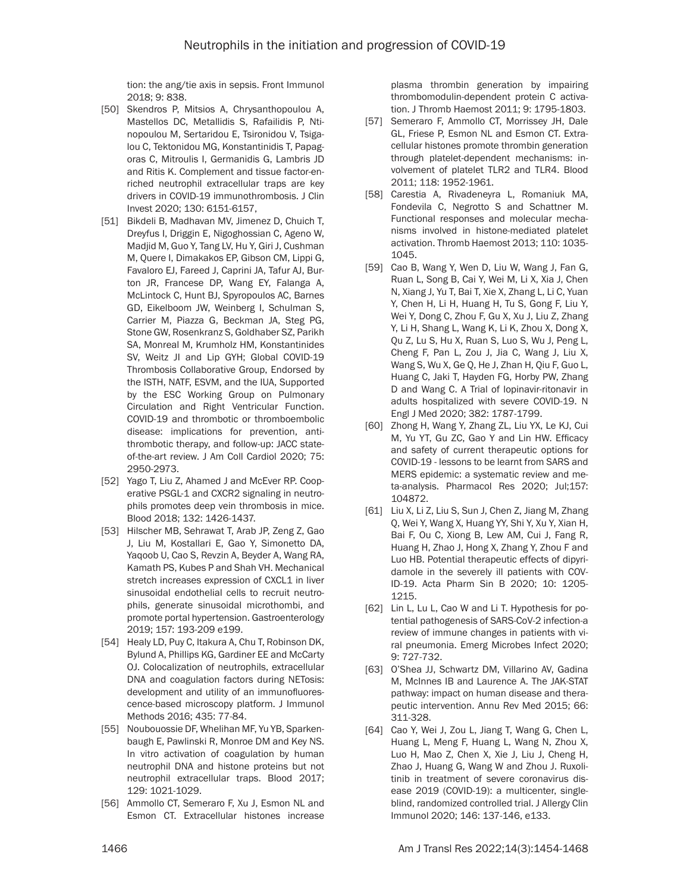tion: the ang/tie axis in sepsis. Front Immunol 2018; 9: 838.

- [50] Skendros P, Mitsios A, Chrysanthopoulou A, Mastellos DC, Metallidis S, Rafailidis P, Ntinopoulou M, Sertaridou E, Tsironidou V, Tsigalou C, Tektonidou MG, Konstantinidis T, Papagoras C, Mitroulis I, Germanidis G, Lambris JD and Ritis K. Complement and tissue factor-enriched neutrophil extracellular traps are key drivers in COVID-19 immunothrombosis. J Clin Invest 2020; 130: 6151-6157,
- [51] Bikdeli B, Madhavan MV, Jimenez D, Chuich T, Dreyfus I, Driggin E, Nigoghossian C, Ageno W, Madjid M, Guo Y, Tang LV, Hu Y, Giri J, Cushman M, Quere I, Dimakakos EP, Gibson CM, Lippi G, Favaloro EJ, Fareed J, Caprini JA, Tafur AJ, Burton JR, Francese DP, Wang EY, Falanga A, McLintock C, Hunt BJ, Spyropoulos AC, Barnes GD, Eikelboom JW, Weinberg I, Schulman S, Carrier M, Piazza G, Beckman JA, Steg PG, Stone GW, Rosenkranz S, Goldhaber SZ, Parikh SA, Monreal M, Krumholz HM, Konstantinides SV, Weitz JI and Lip GYH; Global COVID-19 Thrombosis Collaborative Group, Endorsed by the ISTH, NATF, ESVM, and the IUA, Supported by the ESC Working Group on Pulmonary Circulation and Right Ventricular Function. COVID-19 and thrombotic or thromboembolic disease: implications for prevention, antithrombotic therapy, and follow-up: JACC stateof-the-art review. J Am Coll Cardiol 2020; 75: 2950-2973.
- [52] Yago T, Liu Z, Ahamed J and McEver RP. Cooperative PSGL-1 and CXCR2 signaling in neutrophils promotes deep vein thrombosis in mice. Blood 2018; 132: 1426-1437.
- [53] Hilscher MB, Sehrawat T, Arab JP, Zeng Z, Gao J, Liu M, Kostallari E, Gao Y, Simonetto DA, Yaqoob U, Cao S, Revzin A, Beyder A, Wang RA, Kamath PS, Kubes P and Shah VH. Mechanical stretch increases expression of CXCL1 in liver sinusoidal endothelial cells to recruit neutrophils, generate sinusoidal microthombi, and promote portal hypertension. Gastroenterology 2019; 157: 193-209 e199.
- [54] Healy LD, Puy C, Itakura A, Chu T, Robinson DK, Bylund A, Phillips KG, Gardiner EE and McCarty OJ. Colocalization of neutrophils, extracellular DNA and coagulation factors during NETosis: development and utility of an immunofluorescence-based microscopy platform. J Immunol Methods 2016; 435: 77-84.
- [55] Noubouossie DF, Whelihan MF, Yu YB, Sparkenbaugh E, Pawlinski R, Monroe DM and Key NS. In vitro activation of coagulation by human neutrophil DNA and histone proteins but not neutrophil extracellular traps. Blood 2017; 129: 1021-1029.
- [56] Ammollo CT, Semeraro F, Xu J, Esmon NL and Esmon CT. Extracellular histones increase

plasma thrombin generation by impairing thrombomodulin-dependent protein C activation. J Thromb Haemost 2011; 9: 1795-1803.

- [57] Semeraro F, Ammollo CT, Morrissey JH, Dale GL, Friese P, Esmon NL and Esmon CT. Extracellular histones promote thrombin generation through platelet-dependent mechanisms: involvement of platelet TLR2 and TLR4. Blood 2011; 118: 1952-1961.
- [58] Carestia A, Rivadeneyra L, Romaniuk MA, Fondevila C, Negrotto S and Schattner M. Functional responses and molecular mechanisms involved in histone-mediated platelet activation. Thromb Haemost 2013; 110: 1035- 1045.
- [59] Cao B, Wang Y, Wen D, Liu W, Wang J, Fan G, Ruan L, Song B, Cai Y, Wei M, Li X, Xia J, Chen N, Xiang J, Yu T, Bai T, Xie X, Zhang L, Li C, Yuan Y, Chen H, Li H, Huang H, Tu S, Gong F, Liu Y, Wei Y, Dong C, Zhou F, Gu X, Xu J, Liu Z, Zhang Y, Li H, Shang L, Wang K, Li K, Zhou X, Dong X, Qu Z, Lu S, Hu X, Ruan S, Luo S, Wu J, Peng L, Cheng F, Pan L, Zou J, Jia C, Wang J, Liu X, Wang S, Wu X, Ge Q, He J, Zhan H, Qiu F, Guo L, Huang C, Jaki T, Hayden FG, Horby PW, Zhang D and Wang C. A Trial of lopinavir-ritonavir in adults hospitalized with severe COVID-19. N Engl J Med 2020; 382: 1787-1799.
- [60] Zhong H, Wang Y, Zhang ZL, Liu YX, Le KJ, Cui M, Yu YT, Gu ZC, Gao Y and Lin HW. Efficacy and safety of current therapeutic options for COVID-19 - lessons to be learnt from SARS and MERS epidemic: a systematic review and meta-analysis. Pharmacol Res 2020; Jul;157: 104872.
- [61] Liu X, Li Z, Liu S, Sun J, Chen Z, Jiang M, Zhang Q, Wei Y, Wang X, Huang YY, Shi Y, Xu Y, Xian H, Bai F, Ou C, Xiong B, Lew AM, Cui J, Fang R, Huang H, Zhao J, Hong X, Zhang Y, Zhou F and Luo HB. Potential therapeutic effects of dipyridamole in the severely ill patients with COV-ID-19. Acta Pharm Sin B 2020; 10: 1205- 1215.
- [62] Lin L, Lu L, Cao W and Li T. Hypothesis for potential pathogenesis of SARS-CoV-2 infection-a review of immune changes in patients with viral pneumonia. Emerg Microbes Infect 2020; 9: 727-732.
- [63] O'Shea JJ, Schwartz DM, Villarino AV, Gadina M, McInnes IB and Laurence A. The JAK-STAT pathway: impact on human disease and therapeutic intervention. Annu Rev Med 2015; 66: 311-328.
- [64] Cao Y, Wei J, Zou L, Jiang T, Wang G, Chen L, Huang L, Meng F, Huang L, Wang N, Zhou X, Luo H, Mao Z, Chen X, Xie J, Liu J, Cheng H, Zhao J, Huang G, Wang W and Zhou J. Ruxolitinib in treatment of severe coronavirus disease 2019 (COVID-19): a multicenter, singleblind, randomized controlled trial. J Allergy Clin Immunol 2020; 146: 137-146, e133.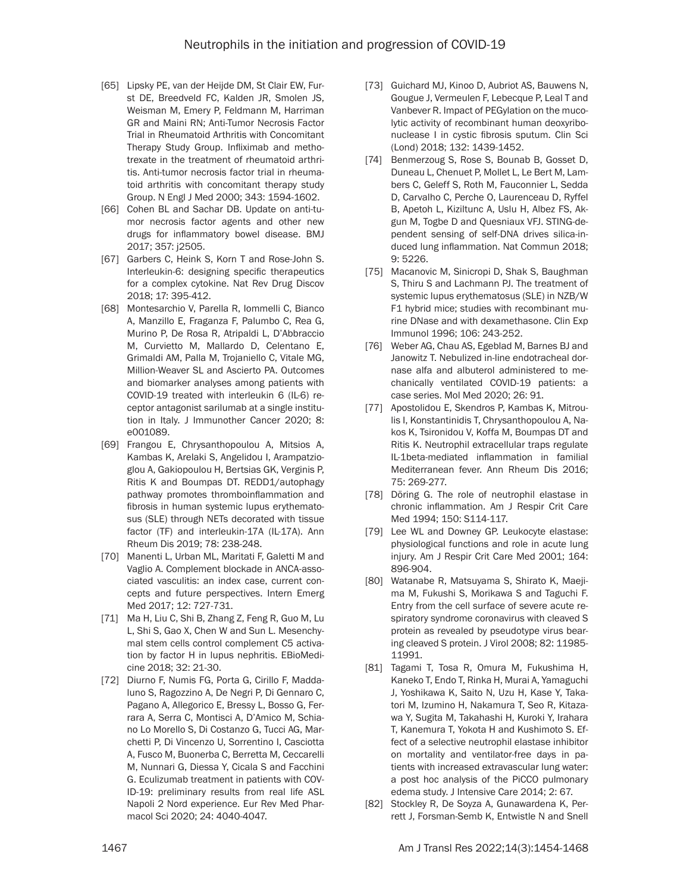- [65] Lipsky PE, van der Heijde DM, St Clair EW, Furst DE, Breedveld FC, Kalden JR, Smolen JS, Weisman M, Emery P, Feldmann M, Harriman GR and Maini RN; Anti-Tumor Necrosis Factor Trial in Rheumatoid Arthritis with Concomitant Therapy Study Group. Infliximab and methotrexate in the treatment of rheumatoid arthritis. Anti-tumor necrosis factor trial in rheumatoid arthritis with concomitant therapy study Group. N Engl J Med 2000; 343: 1594-1602.
- [66] Cohen BL and Sachar DB. Update on anti-tumor necrosis factor agents and other new drugs for inflammatory bowel disease. BMJ 2017; 357: j2505.
- [67] Garbers C, Heink S, Korn T and Rose-John S. Interleukin-6: designing specific therapeutics for a complex cytokine. Nat Rev Drug Discov 2018; 17: 395-412.
- [68] Montesarchio V, Parella R, Iommelli C, Bianco A, Manzillo E, Fraganza F, Palumbo C, Rea G, Murino P, De Rosa R, Atripaldi L, D'Abbraccio M, Curvietto M, Mallardo D, Celentano E, Grimaldi AM, Palla M, Trojaniello C, Vitale MG, Million-Weaver SL and Ascierto PA. Outcomes and biomarker analyses among patients with COVID-19 treated with interleukin 6 (IL-6) receptor antagonist sarilumab at a single institution in Italy. J Immunother Cancer 2020; 8: e001089.
- [69] Frangou E, Chrysanthopoulou A, Mitsios A, Kambas K, Arelaki S, Angelidou I, Arampatzioglou A, Gakiopoulou H, Bertsias GK, Verginis P, Ritis K and Boumpas DT. REDD1/autophagy pathway promotes thromboinflammation and fibrosis in human systemic lupus erythematosus (SLE) through NETs decorated with tissue factor (TF) and interleukin-17A (IL-17A). Ann Rheum Dis 2019; 78: 238-248.
- [70] Manenti L, Urban ML, Maritati F, Galetti M and Vaglio A. Complement blockade in ANCA-associated vasculitis: an index case, current concepts and future perspectives. Intern Emerg Med 2017; 12: 727-731.
- [71] Ma H, Liu C, Shi B, Zhang Z, Feng R, Guo M, Lu L, Shi S, Gao X, Chen W and Sun L. Mesenchymal stem cells control complement C5 activation by factor H in lupus nephritis. EBioMedicine 2018; 32: 21-30.
- [72] Diurno F, Numis FG, Porta G, Cirillo F, Maddaluno S, Ragozzino A, De Negri P, Di Gennaro C, Pagano A, Allegorico E, Bressy L, Bosso G, Ferrara A, Serra C, Montisci A, D'Amico M, Schiano Lo Morello S, Di Costanzo G, Tucci AG, Marchetti P, Di Vincenzo U, Sorrentino I, Casciotta A, Fusco M, Buonerba C, Berretta M, Ceccarelli M, Nunnari G, Diessa Y, Cicala S and Facchini G. Eculizumab treatment in patients with COV-ID-19: preliminary results from real life ASL Napoli 2 Nord experience. Eur Rev Med Pharmacol Sci 2020; 24: 4040-4047.
- [73] Guichard MJ, Kinoo D, Aubriot AS, Bauwens N, Gougue J, Vermeulen F, Lebecque P, Leal T and Vanbever R. Impact of PEGylation on the mucolytic activity of recombinant human deoxyribonuclease I in cystic fibrosis sputum. Clin Sci (Lond) 2018; 132: 1439-1452.
- [74] Benmerzoug S, Rose S, Bounab B, Gosset D, Duneau L, Chenuet P, Mollet L, Le Bert M, Lambers C, Geleff S, Roth M, Fauconnier L, Sedda D, Carvalho C, Perche O, Laurenceau D, Ryffel B, Apetoh L, Kiziltunc A, Uslu H, Albez FS, Akgun M, Togbe D and Quesniaux VFJ. STING-dependent sensing of self-DNA drives silica-induced lung inflammation. Nat Commun 2018; 9: 5226.
- [75] Macanovic M, Sinicropi D, Shak S, Baughman S, Thiru S and Lachmann PJ. The treatment of systemic lupus erythematosus (SLE) in NZB/W F1 hybrid mice; studies with recombinant murine DNase and with dexamethasone. Clin Exp Immunol 1996; 106: 243-252.
- [76] Weber AG, Chau AS, Egeblad M, Barnes BJ and Janowitz T. Nebulized in-line endotracheal dornase alfa and albuterol administered to mechanically ventilated COVID-19 patients: a case series. Mol Med 2020; 26: 91.
- [77] Apostolidou E, Skendros P, Kambas K, Mitroulis I, Konstantinidis T, Chrysanthopoulou A, Nakos K, Tsironidou V, Koffa M, Boumpas DT and Ritis K. Neutrophil extracellular traps regulate IL-1beta-mediated inflammation in familial Mediterranean fever. Ann Rheum Dis 2016; 75: 269-277.
- [78] Döring G. The role of neutrophil elastase in chronic inflammation. Am J Respir Crit Care Med 1994; 150: S114-117.
- [79] Lee WL and Downey GP. Leukocyte elastase: physiological functions and role in acute lung injury. Am J Respir Crit Care Med 2001; 164: 896-904.
- [80] Watanabe R, Matsuyama S, Shirato K, Maejima M, Fukushi S, Morikawa S and Taguchi F. Entry from the cell surface of severe acute respiratory syndrome coronavirus with cleaved S protein as revealed by pseudotype virus bearing cleaved S protein. J Virol 2008; 82: 11985- 11991.
- [81] Tagami T, Tosa R, Omura M, Fukushima H, Kaneko T, Endo T, Rinka H, Murai A, Yamaguchi J, Yoshikawa K, Saito N, Uzu H, Kase Y, Takatori M, Izumino H, Nakamura T, Seo R, Kitazawa Y, Sugita M, Takahashi H, Kuroki Y, Irahara T, Kanemura T, Yokota H and Kushimoto S. Effect of a selective neutrophil elastase inhibitor on mortality and ventilator-free days in patients with increased extravascular lung water: a post hoc analysis of the PiCCO pulmonary edema study. J Intensive Care 2014; 2: 67.
- [82] Stockley R, De Soyza A, Gunawardena K, Perrett J, Forsman-Semb K, Entwistle N and Snell